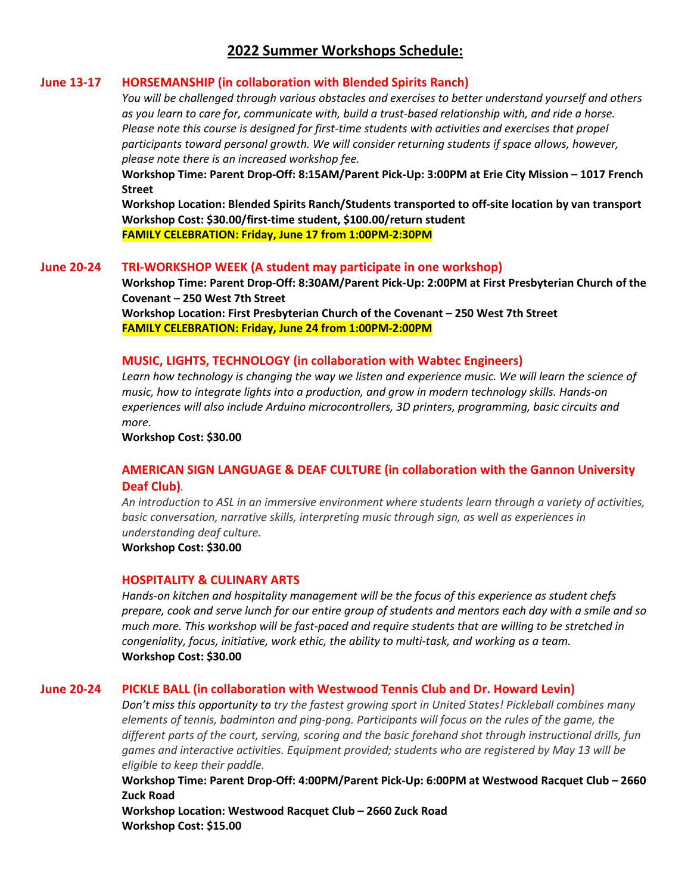# **2022 Summer Workshops Schedule:**

## **June 13-17 HORSEMANSHIP (in collaboration with Blended Spirits Ranch)**

*You will be challenged through various obstacles and exercises to better understand yourself and others as you learn to care for, communicate with, build a trust-based relationship with, and ride a horse. Please note this course is designed for first-time students with activities and exercises that propel participants toward personal growth. We will consider returning students if space allows, however, please note there is an increased workshop fee.*

**Workshop Time: Parent Drop-Off: 8:15AM/Parent Pick-Up: 3:00PM at Erie City Mission – 1017 French Street**

**Workshop Location: Blended Spirits Ranch/Students transported to off-site location by van transport Workshop Cost: \$30.00/first-time student, \$100.00/return student FAMILY CELEBRATION: Friday, June 17 from 1:00PM-2:30PM**

### **June 20-24 TRI-WORKSHOP WEEK (A student may participate in one workshop)**

**Workshop Time: Parent Drop-Off: 8:30AM/Parent Pick-Up: 2:00PM at First Presbyterian Church of the Covenant – 250 West 7th Street**

**Workshop Location: First Presbyterian Church of the Covenant – 250 West 7th Street FAMILY CELEBRATION: Friday, June 24 from 1:00PM-2:00PM**

### **MUSIC, LIGHTS, TECHNOLOGY (in collaboration with Wabtec Engineers)**

Learn how technology is changing the way we listen and experience music. We will learn the science of *music, how to integrate lights into a production, and grow in modern technology skills. Hands-on experiences will also include Arduino microcontrollers, 3D printers, programming, basic circuits and more.*

**Workshop Cost: \$30.00**

## **AMERICAN SIGN LANGUAGE & DEAF CULTURE (in collaboration with the Gannon University Deaf Club)***.*

*An introduction to ASL in an immersive environment where students learn through a variety of activities, basic conversation, narrative skills, interpreting music through sign, as well as experiences in understanding deaf culture.*

**Workshop Cost: \$30.00**

#### **HOSPITALITY & CULINARY ARTS**

*Hands-on kitchen and hospitality management will be the focus of this experience as student chefs prepare, cook and serve lunch for our entire group of students and mentors each day with a smile and so much more. This workshop will be fast-paced and require students that are willing to be stretched in congeniality, focus, initiative, work ethic, the ability to multi-task, and working as a team.* **Workshop Cost: \$30.00**

### **June 20-24 PICKLE BALL (in collaboration with Westwood Tennis Club and Dr. Howard Levin)**

*Don't miss this opportunity to try the fastest growing sport in United States! Pickleball combines many elements of tennis, badminton and ping-pong. Participants will focus on the rules of the game, the different parts of the court, serving, scoring and the basic forehand shot through instructional drills, fun games and interactive activities. Equipment provided; students who are registered by May 13 will be eligible to keep their paddle.*

**Workshop Time: Parent Drop-Off: 4:00PM/Parent Pick-Up: 6:00PM at Westwood Racquet Club – 2660 Zuck Road**

**Workshop Location: Westwood Racquet Club – 2660 Zuck Road Workshop Cost: \$15.00**